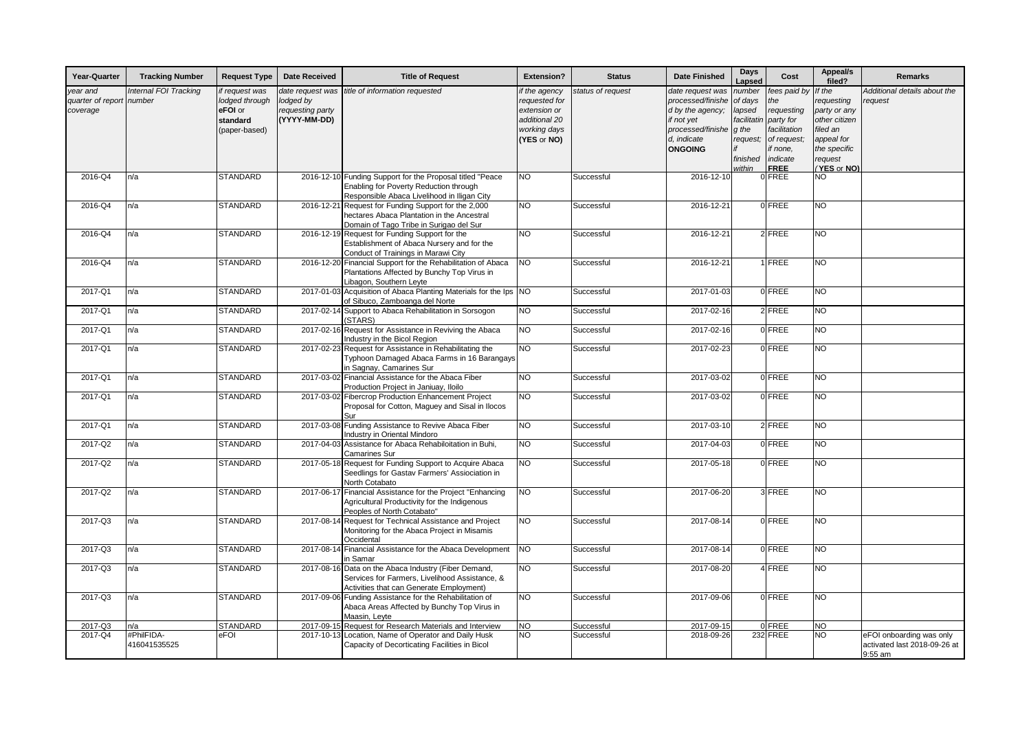| Year-Quarter                              | <b>Tracking Number</b>          | <b>Request Type</b>                                                      | <b>Date Received</b>                                              | <b>Title of Request</b>                                                                                                                            | <b>Extension?</b>                                                                              | <b>Status</b>     | <b>Date Finished</b>                                                                                                          | Days<br>_apsed                                                                               | Cost                                                                                                                 | Appeal/s<br>filed?                                                                                                        | <b>Remarks</b>                                                      |
|-------------------------------------------|---------------------------------|--------------------------------------------------------------------------|-------------------------------------------------------------------|----------------------------------------------------------------------------------------------------------------------------------------------------|------------------------------------------------------------------------------------------------|-------------------|-------------------------------------------------------------------------------------------------------------------------------|----------------------------------------------------------------------------------------------|----------------------------------------------------------------------------------------------------------------------|---------------------------------------------------------------------------------------------------------------------------|---------------------------------------------------------------------|
| year and<br>quarter of report<br>coverage | Internal FOI Tracking<br>number | if request was<br>lodged through<br>eFOI or<br>standard<br>(paper-based) | date request was<br>lodged by<br>requesting party<br>(YYYY-MM-DD) | title of information requested                                                                                                                     | if the agency<br>requested for<br>extension or<br>additional 20<br>working days<br>(YES or NO) | status of request | date request was<br>processed/finishe<br>d by the agency;<br>if not yet<br>processed/finishe<br>d, indicate<br><b>ONGOING</b> | number<br>of days<br>lapsed<br><i>facilitatir</i><br>q the<br>request;<br>finished<br>within | fees paid by<br>the<br>requesting<br>party for<br>facilitation<br>of request;<br>if none,<br>indicate<br><b>FREE</b> | If the<br>requesting<br>party or any<br>other citizen<br>filed an<br>appeal for<br>the specific<br>request<br>(YES or NO) | Additional details about the<br>request                             |
| 2016-Q4                                   | n/a                             | <b>STANDARD</b>                                                          |                                                                   | 2016-12-10 Funding Support for the Proposal titled "Peace<br>Enabling for Poverty Reduction through<br>Responsible Abaca Livelihood in Iligan City | Ю                                                                                              | Successful        | 2016-12-10                                                                                                                    |                                                                                              | 0 FREE                                                                                                               | NO.                                                                                                                       |                                                                     |
| 2016-Q4                                   | n/a                             | <b>STANDARD</b>                                                          |                                                                   | 2016-12-21 Request for Funding Support for the 2,000<br>hectares Abaca Plantation in the Ancestral<br>Domain of Tago Tribe in Surigao del Sur      | NO                                                                                             | Successful        | 2016-12-21                                                                                                                    |                                                                                              | 0 FREE                                                                                                               | NO.                                                                                                                       |                                                                     |
| 2016-Q4                                   | n/a                             | <b>STANDARD</b>                                                          | 2016-12-19                                                        | Request for Funding Support for the<br>Establishment of Abaca Nursery and for the<br>Conduct of Trainings in Marawi City                           | NO                                                                                             | Successful        | 2016-12-21                                                                                                                    |                                                                                              | $2$ FREE                                                                                                             | NO                                                                                                                        |                                                                     |
| 2016-Q4                                   | n/a                             | <b>STANDARD</b>                                                          |                                                                   | 2016-12-20 Financial Support for the Rehabilitation of Abaca<br>Plantations Affected by Bunchy Top Virus in<br>Libagon, Southern Leyte             | <b>NO</b>                                                                                      | Successful        | 2016-12-21                                                                                                                    |                                                                                              | 1 FREE                                                                                                               | NO                                                                                                                        |                                                                     |
| 2017-Q1                                   | n/a                             | <b>STANDARD</b>                                                          | 2017-01-03                                                        | Acquisition of Abaca Planting Materials for the Ips NO<br>of Sibuco, Zamboanga del Norte                                                           |                                                                                                | Successful        | 2017-01-03                                                                                                                    |                                                                                              | 0 FREE                                                                                                               | NO                                                                                                                        |                                                                     |
| 2017-Q1                                   | n/a                             | <b>STANDARD</b>                                                          |                                                                   | 2017-02-14 Support to Abaca Rehabilitation in Sorsogon<br>(STARS)                                                                                  | NO                                                                                             | Successful        | 2017-02-16                                                                                                                    |                                                                                              | 2 FREE                                                                                                               | $\overline{NQ}$                                                                                                           |                                                                     |
| 2017-Q1                                   | n/a                             | <b>STANDARD</b>                                                          |                                                                   | 2017-02-16 Request for Assistance in Reviving the Abaca<br>Industry in the Bicol Region                                                            | $\overline{N}$                                                                                 | Successful        | 2017-02-16                                                                                                                    |                                                                                              | $0$ FREE                                                                                                             | NO.                                                                                                                       |                                                                     |
| 2017-Q1                                   | n/a                             | <b>STANDARD</b>                                                          | 2017-02-23                                                        | Request for Assistance in Rehabilitating the<br>Typhoon Damaged Abaca Farms in 16 Barangays<br>in Sagnay, Camarines Sur                            | $\overline{N}$                                                                                 | Successful        | 2017-02-23                                                                                                                    |                                                                                              | 0 FREE                                                                                                               | <b>NO</b>                                                                                                                 |                                                                     |
| 2017-Q1                                   | n/a                             | <b>STANDARD</b>                                                          |                                                                   | 2017-03-02 Financial Assistance for the Abaca Fiber<br>Production Project in Janiuay, Iloilo                                                       | NO                                                                                             | Successful        | 2017-03-02                                                                                                                    |                                                                                              | $0$ FREE                                                                                                             | $\overline{NQ}$                                                                                                           |                                                                     |
| 2017-Q1                                   | n/a                             | <b>STANDARD</b>                                                          | 2017-03-02                                                        | <b>Fibercrop Production Enhancement Project</b><br>Proposal for Cotton, Maquey and Sisal in Ilocos<br>Sur                                          | <b>NO</b>                                                                                      | Successful        | 2017-03-02                                                                                                                    |                                                                                              | 0 FREE                                                                                                               | NO <sub>1</sub>                                                                                                           |                                                                     |
| 2017-Q1                                   | n/a                             | <b>STANDARD</b>                                                          |                                                                   | 2017-03-08 Funding Assistance to Revive Abaca Fiber<br>Industry in Oriental Mindoro                                                                | NO                                                                                             | Successful        | 2017-03-10                                                                                                                    |                                                                                              | 2 FREE                                                                                                               | NO                                                                                                                        |                                                                     |
| 2017-Q2                                   | n/a                             | <b>STANDARD</b>                                                          | 2017-04-03                                                        | Assistance for Abaca Rehabiloitation in Buhi,<br>Camarines Sur                                                                                     | NO                                                                                             | Successful        | 2017-04-03                                                                                                                    |                                                                                              | 0 FREE                                                                                                               | NO.                                                                                                                       |                                                                     |
| 2017-Q2                                   | n/a                             | <b>STANDARD</b>                                                          | 2017-05-18                                                        | Request for Funding Support to Acquire Abaca<br>Seedlings for Gastav Farmers' Assiociation in<br>North Cotabato                                    | NO                                                                                             | Successful        | 2017-05-18                                                                                                                    |                                                                                              | 0 FREE                                                                                                               | NO                                                                                                                        |                                                                     |
| 2017-Q2                                   | n/a                             | <b>STANDARD</b>                                                          |                                                                   | 2017-06-17 Financial Assistance for the Project "Enhancing<br>Agricultural Productivity for the Indigenous<br>Peoples of North Cotabato"           | NO                                                                                             | Successful        | 2017-06-20                                                                                                                    |                                                                                              | 3 FREE                                                                                                               | NO.                                                                                                                       |                                                                     |
| 2017-Q3                                   | n/a                             | <b>STANDARD</b>                                                          | 2017-08-14                                                        | Request for Technical Assistance and Project<br>Monitoring for the Abaca Project in Misamis<br>Occidental                                          | NO                                                                                             | Successful        | 2017-08-14                                                                                                                    |                                                                                              | 0 FREE                                                                                                               | NO.                                                                                                                       |                                                                     |
| 2017-Q3                                   | n/a                             | <b>STANDARD</b>                                                          |                                                                   | 2017-08-14 Financial Assistance for the Abaca Development<br>in Samar                                                                              | <b>NO</b>                                                                                      | Successful        | 2017-08-14                                                                                                                    |                                                                                              | 0 FREE                                                                                                               | NO.                                                                                                                       |                                                                     |
| 2017-Q3                                   | n/a                             | <b>STANDARD</b>                                                          | 2017-08-16                                                        | Data on the Abaca Industry (Fiber Demand,<br>Services for Farmers, Livelihood Assistance, &<br><b>Activities that can Generate Employment)</b>     | NO                                                                                             | Successful        | 2017-08-20                                                                                                                    |                                                                                              | 4 FREE                                                                                                               | NO <sub>1</sub>                                                                                                           |                                                                     |
| 2017-Q3                                   | n/a                             | <b>STANDARD</b>                                                          |                                                                   | 2017-09-06 Funding Assistance for the Rehabilitation of<br>Abaca Areas Affected by Bunchy Top Virus in<br>Maasin, Leyte                            | <b>NO</b>                                                                                      | Successful        | 2017-09-06                                                                                                                    |                                                                                              | 0 FREE                                                                                                               | NO.                                                                                                                       |                                                                     |
| 2017-Q3                                   | n/a                             | <b>STANDARD</b>                                                          |                                                                   | 2017-09-15 Request for Research Materials and Interview                                                                                            | NO                                                                                             | Successful        | 2017-09-15                                                                                                                    |                                                                                              | 0 FREE                                                                                                               | NO.                                                                                                                       |                                                                     |
| 2017-Q4                                   | #PhilFIDA-<br>416041535525      | eFOI                                                                     |                                                                   | 2017-10-13 Location, Name of Operator and Daily Husk<br>Capacity of Decorticating Facilities in Bicol                                              | NO.                                                                                            | Successful        | 2018-09-26                                                                                                                    |                                                                                              | <b>232 FREE</b>                                                                                                      | NO.                                                                                                                       | eFOI onboarding was only<br>activated last 2018-09-26 at<br>9:55 am |